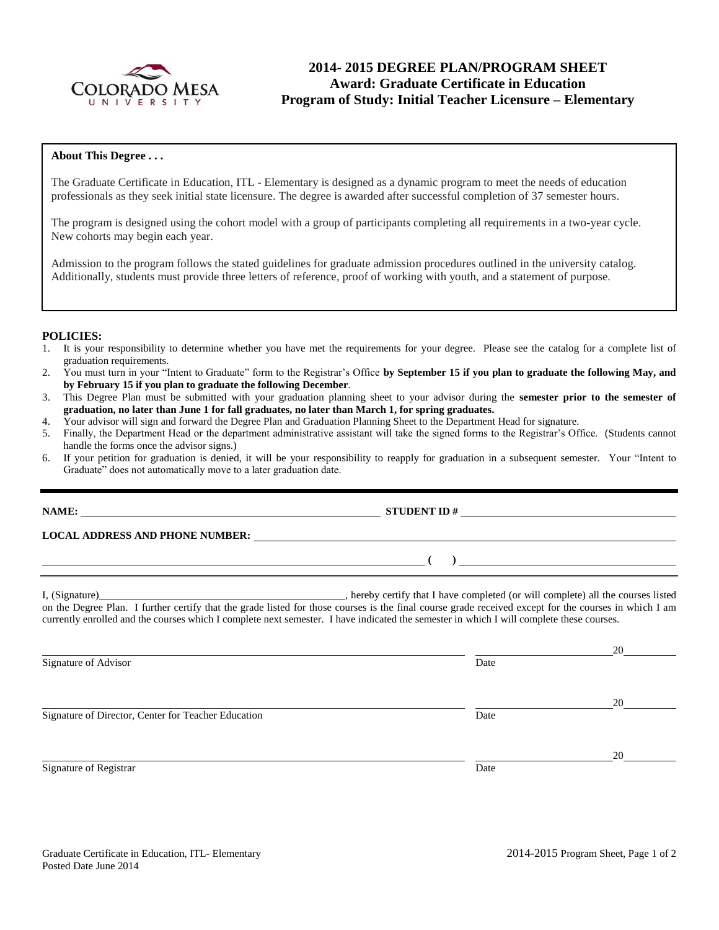

# **2014- 2015 DEGREE PLAN/PROGRAM SHEET Award: Graduate Certificate in Education Program of Study: Initial Teacher Licensure – Elementary**

### **About This Degree . . .**

The Graduate Certificate in Education, ITL - Elementary is designed as a dynamic program to meet the needs of education professionals as they seek initial state licensure. The degree is awarded after successful completion of 37 semester hours.

The program is designed using the cohort model with a group of participants completing all requirements in a two-year cycle. New cohorts may begin each year.

Admission to the program follows the stated guidelines for graduate admission procedures outlined in the university catalog. Additionally, students must provide three letters of reference, proof of working with youth, and a statement of purpose.

#### **POLICIES:**

- 1. It is your responsibility to determine whether you have met the requirements for your degree. Please see the catalog for a complete list of graduation requirements.
- 2. You must turn in your "Intent to Graduate" form to the Registrar's Office **by September 15 if you plan to graduate the following May, and by February 15 if you plan to graduate the following December**.
- 3. This Degree Plan must be submitted with your graduation planning sheet to your advisor during the **semester prior to the semester of graduation, no later than June 1 for fall graduates, no later than March 1, for spring graduates.**
- 4. Your advisor will sign and forward the Degree Plan and Graduation Planning Sheet to the Department Head for signature.
- 5. Finally, the Department Head or the department administrative assistant will take the signed forms to the Registrar's Office. (Students cannot handle the forms once the advisor signs.)
- 6. If your petition for graduation is denied, it will be your responsibility to reapply for graduation in a subsequent semester. Your "Intent to Graduate" does not automatically move to a later graduation date.

**LOCAL ADDRESS AND PHONE NUMBER:**

I, (Signature) , hereby certify that I have completed (or will complete) all the courses listed on the Degree Plan. I further certify that the grade listed for those courses is the final course grade received except for the courses in which I am currently enrolled and the courses which I complete next semester. I have indicated the semester in which I will complete these courses.

Signature of Advisor Date

Signature of Director, Center for Teacher Education Date

Signature of Registrar Date Date of Registrar Date Date of Registrar Date Date of Registrar Date Date of Registrar Date of  $\alpha$ 

20

20

20

**NAME: STUDENT ID #** 

**( )**